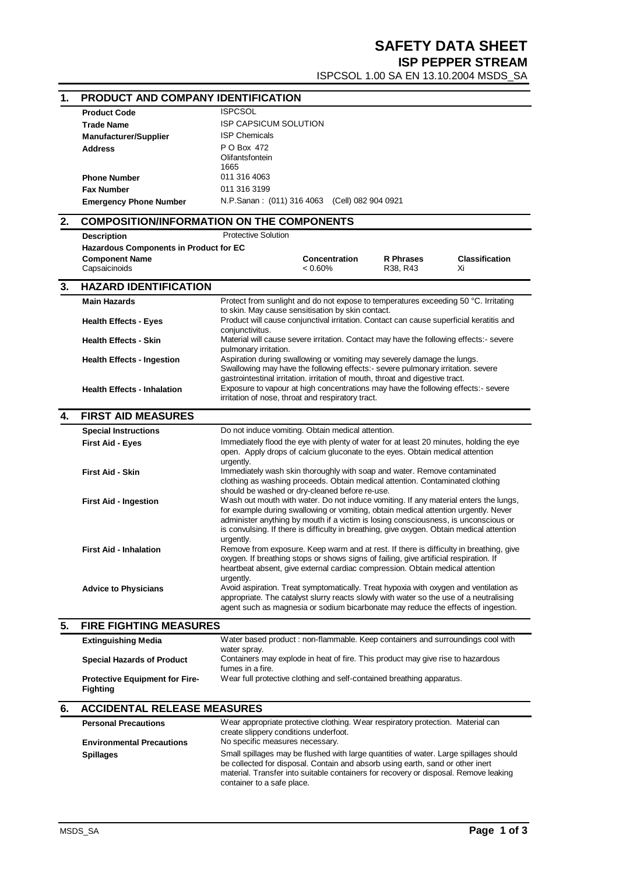## **SAFETY DATA SHEET**

**ISP PEPPER STREAM**

ISPCSOL 1.00 SA EN 13.10.2004 MSDS\_SA

| 1. | PRODUCT AND COMPANY IDENTIFICATION               |                                                                                                                                                                            |  |  |
|----|--------------------------------------------------|----------------------------------------------------------------------------------------------------------------------------------------------------------------------------|--|--|
|    | <b>Product Code</b>                              | <b>ISPCSOL</b>                                                                                                                                                             |  |  |
|    | <b>Trade Name</b>                                | <b>ISP CAPSICUM SOLUTION</b>                                                                                                                                               |  |  |
|    | <b>Manufacturer/Supplier</b>                     | <b>ISP Chemicals</b>                                                                                                                                                       |  |  |
|    | <b>Address</b>                                   | P O Box 472                                                                                                                                                                |  |  |
|    |                                                  | Olifantsfontein                                                                                                                                                            |  |  |
|    |                                                  | 1665                                                                                                                                                                       |  |  |
|    | <b>Phone Number</b>                              | 011 316 4063                                                                                                                                                               |  |  |
|    | <b>Fax Number</b>                                | 011 316 3199                                                                                                                                                               |  |  |
|    | <b>Emergency Phone Number</b>                    | N.P.Sanan: (011) 316 4063 (Cell) 082 904 0921                                                                                                                              |  |  |
| 2. | <b>COMPOSITION/INFORMATION ON THE COMPONENTS</b> |                                                                                                                                                                            |  |  |
|    | <b>Protective Solution</b><br><b>Description</b> |                                                                                                                                                                            |  |  |
|    | Hazardous Components in Product for EC           |                                                                                                                                                                            |  |  |
|    | <b>Component Name</b>                            | <b>R</b> Phrases<br><b>Classification</b><br>Concentration                                                                                                                 |  |  |
|    | Capsaicinoids                                    | $< 0.60\%$<br>Xi<br>R38, R43                                                                                                                                               |  |  |
| 3. | <b>HAZARD IDENTIFICATION</b>                     |                                                                                                                                                                            |  |  |
|    | <b>Main Hazards</b>                              | Protect from sunlight and do not expose to temperatures exceeding 50 °C. Irritating                                                                                        |  |  |
|    | <b>Health Effects - Eyes</b>                     | to skin. May cause sensitisation by skin contact.<br>Product will cause conjunctival irritation. Contact can cause superficial keratitis and                               |  |  |
|    |                                                  | conjunctivitus.                                                                                                                                                            |  |  |
|    | <b>Health Effects - Skin</b>                     | Material will cause severe irritation. Contact may have the following effects:- severe                                                                                     |  |  |
|    |                                                  | pulmonary irritation.                                                                                                                                                      |  |  |
|    | <b>Health Effects - Ingestion</b>                | Aspiration during swallowing or vomiting may severely damage the lungs.                                                                                                    |  |  |
|    |                                                  | Swallowing may have the following effects:- severe pulmonary irritation. severe<br>gastrointestinal irritation. irritation of mouth, throat and digestive tract.           |  |  |
|    | <b>Health Effects - Inhalation</b>               | Exposure to vapour at high concentrations may have the following effects:- severe                                                                                          |  |  |
|    |                                                  | irritation of nose, throat and respiratory tract.                                                                                                                          |  |  |
| 4. | <b>FIRST AID MEASURES</b>                        |                                                                                                                                                                            |  |  |
|    | <b>Special Instructions</b>                      | Do not induce vomiting. Obtain medical attention.                                                                                                                          |  |  |
|    | <b>First Aid - Eyes</b>                          | Immediately flood the eye with plenty of water for at least 20 minutes, holding the eye                                                                                    |  |  |
|    |                                                  | open. Apply drops of calcium gluconate to the eyes. Obtain medical attention                                                                                               |  |  |
|    | First Aid - Skin                                 | urgently.<br>Immediately wash skin thoroughly with soap and water. Remove contaminated                                                                                     |  |  |
|    |                                                  | clothing as washing proceeds. Obtain medical attention. Contaminated clothing                                                                                              |  |  |
|    |                                                  | should be washed or dry-cleaned before re-use.                                                                                                                             |  |  |
|    | <b>First Aid - Ingestion</b>                     | Wash out mouth with water. Do not induce vomiting. If any material enters the lungs,                                                                                       |  |  |
|    |                                                  | for example during swallowing or vomiting, obtain medical attention urgently. Never<br>administer anything by mouth if a victim is losing consciousness, is unconscious or |  |  |
|    |                                                  | is convulsing. If there is difficulty in breathing, give oxygen. Obtain medical attention                                                                                  |  |  |
|    |                                                  | urgently.                                                                                                                                                                  |  |  |
|    | <b>First Aid - Inhalation</b>                    | Remove from exposure. Keep warm and at rest. If there is difficulty in breathing, give                                                                                     |  |  |
|    |                                                  | oxygen. If breathing stops or shows signs of failing, give artificial respiration. If<br>heartbeat absent, give external cardiac compression. Obtain medical attention     |  |  |
|    |                                                  | urgently.                                                                                                                                                                  |  |  |
|    | <b>Advice to Physicians</b>                      | Avoid aspiration. Treat symptomatically. Treat hypoxia with oxygen and ventilation as                                                                                      |  |  |
|    |                                                  | appropriate. The catalyst slurry reacts slowly with water so the use of a neutralising                                                                                     |  |  |
|    |                                                  | agent such as magnesia or sodium bicarbonate may reduce the effects of ingestion.                                                                                          |  |  |
| 5. | <b>FIRE FIGHTING MEASURES</b>                    |                                                                                                                                                                            |  |  |
|    | <b>Extinguishing Media</b>                       | Water based product : non-flammable. Keep containers and surroundings cool with<br>water spray.                                                                            |  |  |
|    | <b>Special Hazards of Product</b>                | Containers may explode in heat of fire. This product may give rise to hazardous                                                                                            |  |  |
|    |                                                  | fumes in a fire.                                                                                                                                                           |  |  |
|    | <b>Protective Equipment for Fire-</b>            | Wear full protective clothing and self-contained breathing apparatus.                                                                                                      |  |  |
|    | Fighting                                         |                                                                                                                                                                            |  |  |
| 6. | <b>ACCIDENTAL RELEASE MEASURES</b>               |                                                                                                                                                                            |  |  |
|    | <b>Personal Precautions</b>                      | Wear appropriate protective clothing. Wear respiratory protection. Material can                                                                                            |  |  |
|    |                                                  | create slippery conditions underfoot.                                                                                                                                      |  |  |
|    | <b>Environmental Precautions</b>                 | No specific measures necessary.                                                                                                                                            |  |  |
|    | <b>Spillages</b>                                 | Small spillages may be flushed with large quantities of water. Large spillages should<br>be collected for disposal. Contain and absorb using earth, sand or other inert    |  |  |
|    |                                                  | material. Transfer into suitable containers for recovery or disposal. Remove leaking                                                                                       |  |  |
|    |                                                  | container to a safe place.                                                                                                                                                 |  |  |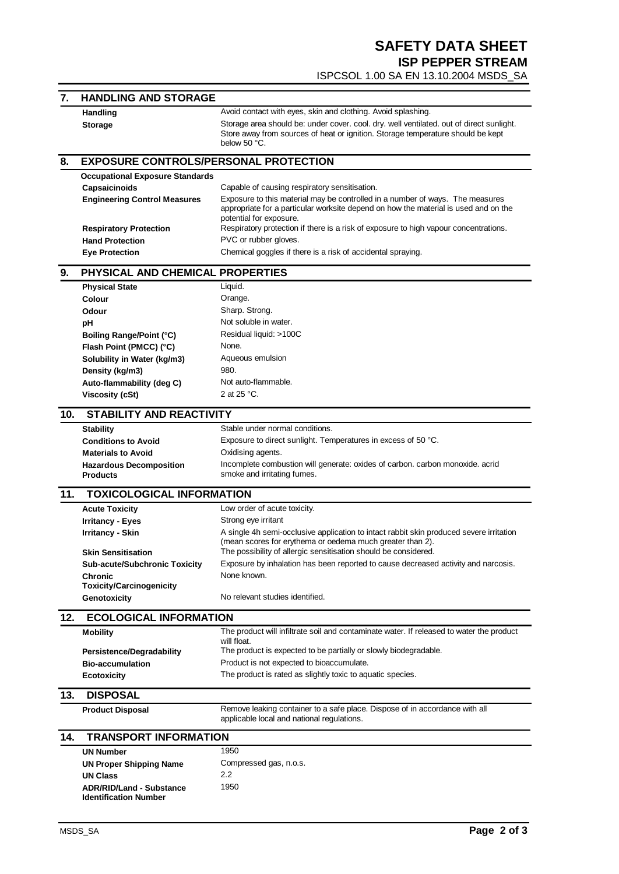| 7.  | <b>HANDLING AND STORAGE</b>                                     |                                                                                                                           |  |  |
|-----|-----------------------------------------------------------------|---------------------------------------------------------------------------------------------------------------------------|--|--|
|     | <b>Handling</b>                                                 | Avoid contact with eyes, skin and clothing. Avoid splashing.                                                              |  |  |
|     | <b>Storage</b>                                                  | Storage area should be: under cover. cool. dry. well ventilated. out of direct sunlight.                                  |  |  |
|     |                                                                 | Store away from sources of heat or ignition. Storage temperature should be kept                                           |  |  |
|     |                                                                 | below 50 °C.                                                                                                              |  |  |
| 8.  |                                                                 | <b>EXPOSURE CONTROLS/PERSONAL PROTECTION</b>                                                                              |  |  |
|     | <b>Occupational Exposure Standards</b>                          |                                                                                                                           |  |  |
|     | Capsaicinoids                                                   | Capable of causing respiratory sensitisation.                                                                             |  |  |
|     | <b>Engineering Control Measures</b>                             | Exposure to this material may be controlled in a number of ways. The measures                                             |  |  |
|     |                                                                 | appropriate for a particular worksite depend on how the material is used and on the                                       |  |  |
|     |                                                                 | potential for exposure.<br>Respiratory protection if there is a risk of exposure to high vapour concentrations.           |  |  |
|     | <b>Respiratory Protection</b><br><b>Hand Protection</b>         | PVC or rubber gloves.                                                                                                     |  |  |
|     | <b>Eye Protection</b>                                           | Chemical goggles if there is a risk of accidental spraying.                                                               |  |  |
|     |                                                                 |                                                                                                                           |  |  |
| 9.  | PHYSICAL AND CHEMICAL PROPERTIES                                |                                                                                                                           |  |  |
|     | <b>Physical State</b>                                           | Liquid.                                                                                                                   |  |  |
|     | Colour                                                          | Orange.                                                                                                                   |  |  |
|     | Odour                                                           | Sharp. Strong.                                                                                                            |  |  |
|     | рH                                                              | Not soluble in water.                                                                                                     |  |  |
|     | Boiling Range/Point (°C)                                        | Residual liquid: >100C                                                                                                    |  |  |
|     | Flash Point (PMCC) (°C)                                         | None.                                                                                                                     |  |  |
|     | Solubility in Water (kg/m3)                                     | Aqueous emulsion                                                                                                          |  |  |
|     | Density (kg/m3)                                                 | 980.                                                                                                                      |  |  |
|     | Auto-flammability (deg C)                                       | Not auto-flammable.                                                                                                       |  |  |
|     | <b>Viscosity (cSt)</b>                                          | 2 at 25 °C.                                                                                                               |  |  |
| 10. | <b>STABILITY AND REACTIVITY</b>                                 |                                                                                                                           |  |  |
|     | <b>Stability</b>                                                | Stable under normal conditions.                                                                                           |  |  |
|     | <b>Conditions to Avoid</b>                                      | Exposure to direct sunlight. Temperatures in excess of 50 °C.                                                             |  |  |
|     | <b>Materials to Avoid</b>                                       | Oxidising agents.                                                                                                         |  |  |
|     | <b>Hazardous Decomposition</b><br><b>Products</b>               | Incomplete combustion will generate: oxides of carbon. carbon monoxide. acrid<br>smoke and irritating fumes.              |  |  |
| 11. | <b>TOXICOLOGICAL INFORMATION</b>                                |                                                                                                                           |  |  |
|     | <b>Acute Toxicity</b>                                           | Low order of acute toxicity.                                                                                              |  |  |
|     | <b>Irritancy - Eyes</b>                                         | Strong eye irritant                                                                                                       |  |  |
|     | <b>Irritancy - Skin</b>                                         | A single 4h semi-occlusive application to intact rabbit skin produced severe irritation                                   |  |  |
|     |                                                                 | (mean scores for erythema or oedema much greater than 2).                                                                 |  |  |
|     | <b>Skin Sensitisation</b>                                       | The possibility of allergic sensitisation should be considered.                                                           |  |  |
|     | <b>Sub-acute/Subchronic Toxicity</b>                            | Exposure by inhalation has been reported to cause decreased activity and narcosis.                                        |  |  |
|     | <b>Chronic</b><br><b>Toxicity/Carcinogenicity</b>               | None known.                                                                                                               |  |  |
|     | Genotoxicity                                                    | No relevant studies identified.                                                                                           |  |  |
| 12. | <b>ECOLOGICAL INFORMATION</b>                                   |                                                                                                                           |  |  |
|     | <b>Mobility</b>                                                 | The product will infiltrate soil and contaminate water. If released to water the product                                  |  |  |
|     |                                                                 | will float.                                                                                                               |  |  |
|     | Persistence/Degradability                                       | The product is expected to be partially or slowly biodegradable.                                                          |  |  |
|     | <b>Bio-accumulation</b>                                         | Product is not expected to bioaccumulate.                                                                                 |  |  |
|     | <b>Ecotoxicity</b>                                              | The product is rated as slightly toxic to aquatic species.                                                                |  |  |
| 13. | <b>DISPOSAL</b>                                                 |                                                                                                                           |  |  |
|     | <b>Product Disposal</b>                                         | Remove leaking container to a safe place. Dispose of in accordance with all<br>applicable local and national regulations. |  |  |
|     |                                                                 |                                                                                                                           |  |  |
| 14. | <b>TRANSPORT INFORMATION</b>                                    |                                                                                                                           |  |  |
|     | <b>UN Number</b>                                                | 1950                                                                                                                      |  |  |
|     | <b>UN Proper Shipping Name</b>                                  | Compressed gas, n.o.s.                                                                                                    |  |  |
|     | <b>UN Class</b>                                                 | 2.2                                                                                                                       |  |  |
|     | <b>ADR/RID/Land - Substance</b><br><b>Identification Number</b> | 1950                                                                                                                      |  |  |